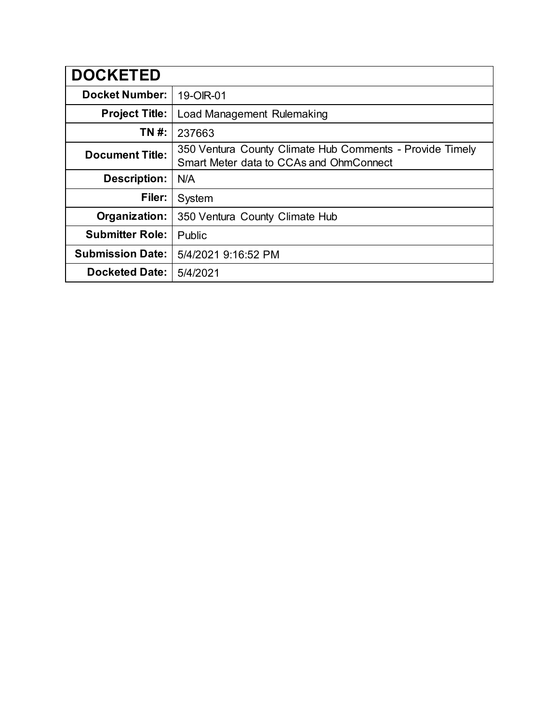| <b>DOCKETED</b>         |                                                                                                     |
|-------------------------|-----------------------------------------------------------------------------------------------------|
| <b>Docket Number:</b>   | 19-OIR-01                                                                                           |
| <b>Project Title:</b>   | Load Management Rulemaking                                                                          |
| TN #:                   | 237663                                                                                              |
| <b>Document Title:</b>  | 350 Ventura County Climate Hub Comments - Provide Timely<br>Smart Meter data to CCAs and OhmConnect |
| <b>Description:</b>     | N/A                                                                                                 |
| Filer:                  | System                                                                                              |
| Organization:           | 350 Ventura County Climate Hub                                                                      |
| <b>Submitter Role:</b>  | Public                                                                                              |
| <b>Submission Date:</b> | 5/4/2021 9:16:52 PM                                                                                 |
| <b>Docketed Date:</b>   | 5/4/2021                                                                                            |